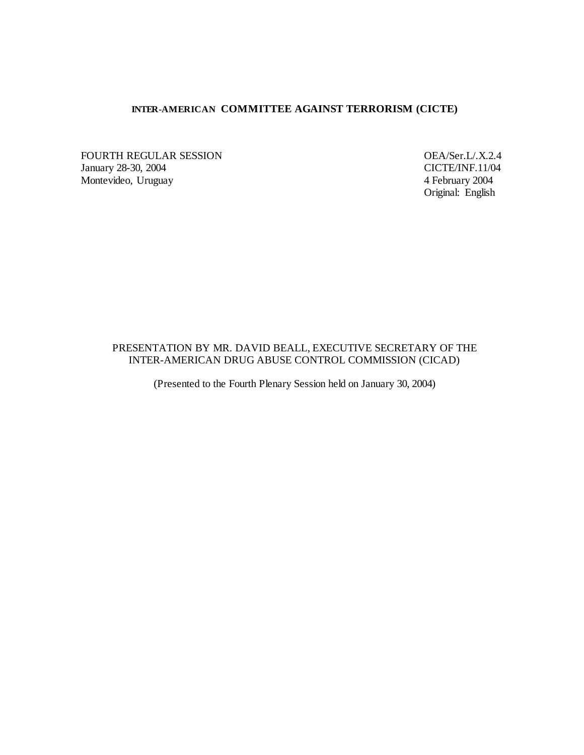## **INTER-AMERICAN COMMITTEE AGAINST TERRORISM (CICTE)**

FOURTH REGULAR SESSION<br>
January 28-30, 2004<br>
CICTE/INF.11/04 January 28-30, 2004<br>
Montevideo, Uruguay 4 February 2004 Montevideo, Uruguay

Original: English

## PRESENTATION BY MR. DAVID BEALL, EXECUTIVE SECRETARY OF THE INTER-AMERICAN DRUG ABUSE CONTROL COMMISSION (CICAD)

(Presented to the Fourth Plenary Session held on January 30, 2004)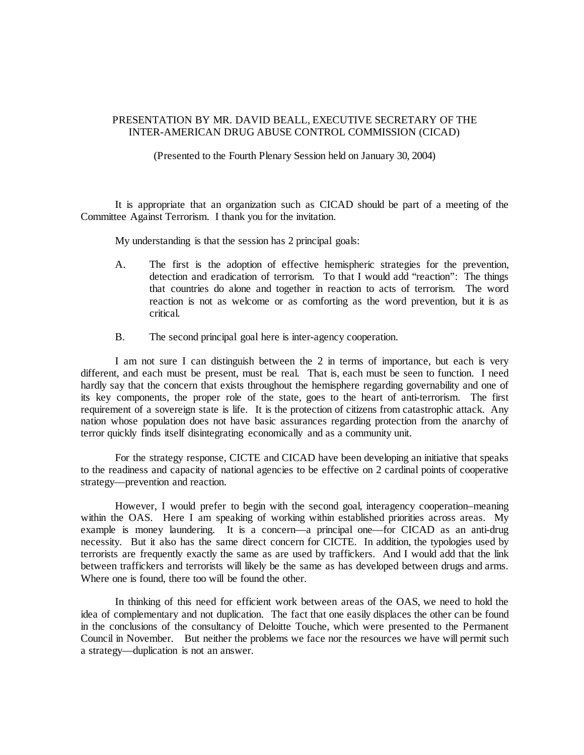## PRESENTATION BY MR. DAVID BEALL, EXECUTIVE SECRETARY OF THE INTER-AMERICAN DRUG ABUSE CONTROL COMMISSION (CICAD)

(Presented to the Fourth Plenary Session held on January 30, 2004)

It is appropriate that an organization such as CICAD should be part of a meeting of the Committee Against Terrorism. I thank you for the invitation.

My understanding is that the session has 2 principal goals:

- A. The first is the adoption of effective hemispheric strategies for the prevention, detection and eradication of terrorism. To that I would add "reaction": The things that countries do alone and together in reaction to acts of terrorism. The word reaction is not as welcome or as comforting as the word prevention, but it is as critical.
- B. The second principal goal here is inter-agency cooperation.

I am not sure I can distinguish between the 2 in terms of importance, but each is very different, and each must be present, must be real. That is, each must be seen to function. I need hardly say that the concern that exists throughout the hemisphere regarding governability and one of its key components, the proper role of the state, goes to the heart of anti-terrorism. The first requirement of a sovereign state is life. It is the protection of citizens from catastrophic attack. Any nation whose population does not have basic assurances regarding protection from the anarchy of terror quickly finds itself disintegrating economically and as a community unit.

For the strategy response, CICTE and CICAD have been developing an initiative that speaks to the readiness and capacity of national agencies to be effective on 2 cardinal points of cooperative strategy—prevention and reaction.

However, I would prefer to begin with the second goal, interagency cooperation–meaning within the OAS. Here I am speaking of working within established priorities across areas. My example is money laundering. It is a concern—a principal one—for CICAD as an anti-drug necessity. But it also has the same direct concern for CICTE. In addition, the typologies used by terrorists are frequently exactly the same as are used by traffickers. And I would add that the link between traffickers and terrorists will likely be the same as has developed between drugs and arms. Where one is found, there too will be found the other.

In thinking of this need for efficient work between areas of the OAS, we need to hold the idea of complementary and not duplication. The fact that one easily displaces the other can be found in the conclusions of the consultancy of Deloitte Touche, which were presented to the Permanent Council in November. But neither the problems we face nor the resources we have will permit such a strategy—duplication is not an answer.